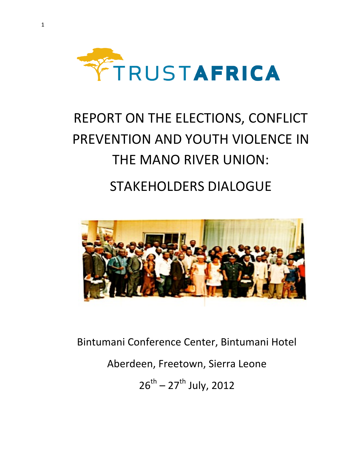

# REPORT ON THE ELECTIONS, CONFLICT PREVENTION AND YOUTH VIOLENCE IN THE MANO RIVER UNION: STAKEHOLDERS DIALOGUE



Bintumani Conference Center, Bintumani Hotel

Aberdeen, Freetown, Sierra Leone

 $26^{th} - 27^{th}$  July, 2012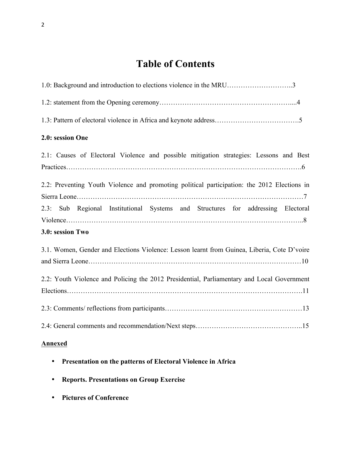# **Table of Contents**

| 1.0: Background and introduction to elections violence in the MRU3                          |
|---------------------------------------------------------------------------------------------|
|                                                                                             |
|                                                                                             |
| 2.0: session One                                                                            |
| 2.1: Causes of Electoral Violence and possible mitigation strategies: Lessons and Best      |
| 2.2: Preventing Youth Violence and promoting political participation: the 2012 Elections in |
| 2.3: Sub Regional Institutional Systems and Structures for addressing Electoral             |
| 3.0: session Two                                                                            |
| 3.1. Women, Gender and Elections Violence: Lesson learnt from Guinea, Liberia, Cote D'voire |
| 2.2: Youth Violence and Policing the 2012 Presidential, Parliamentary and Local Government  |
|                                                                                             |
|                                                                                             |
|                                                                                             |

### **Annexed**

- **Presentation on the patterns of Electoral Violence in Africa**
- **Reports. Presentations on Group Exercise**
- **Pictures of Conference**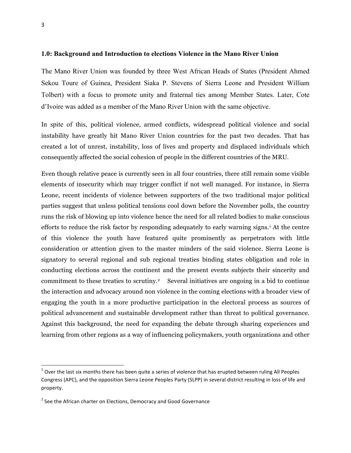#### **1.0: Background and Introduction to elections Violence in the Mano River Union**

The Mano River Union was founded by three West African Heads of States (President Ahmed Sekou Toure of Guinea, President Siaka P. Stevens of Sierra Leone and President William Tolbert) with a focus to promote unity and fraternal ties among Member States. Later, Cote d'Ivoire was added as a member of the Mano River Union with the same objective.

In spite of this, political violence, armed conflicts, widespread political violence and social instability have greatly hit Mano River Union countries for the past two decades. That has created a lot of unrest, instability, loss of lives and property and displaced individuals which consequently affected the social cohesion of people in the different countries of the MRU.

Even though relative peace is currently seen in all four countries, there still remain some visible elements of insecurity which may trigger conflict if not well managed. For instance, in Sierra Leone, recent incidents of violence between supporters of the two traditional major political parties suggest that unless political tensions cool down before the November polls, the country runs the risk of blowing up into violence hence the need for all related bodies to make conscious efforts to reduce the risk factor by responding adequately to early warning signs.1 At the centre of this violence the youth have featured quite prominently as perpetrators with little consideration or attention given to the master minders of the said violence. Sierra Leone is signatory to several regional and sub regional treaties binding states obligation and role in conducting elections across the continent and the present events subjects their sincerity and commitment to these treaties to scrutiny. <sup>2</sup> Several initiatives are ongoing in a bid to continue the interaction and advocacy around non violence in the coming elections with a broader view of engaging the youth in a more productive participation in the electoral process as sources of political advancement and sustainable development rather than threat to political governance. Against this background, the need for expanding the debate through sharing experiences and learning from other regions as a way of influencing policymakers, youth organizations and other

<u> 1989 - Jan Stein Stein, fransk politiker (d. 1989)</u>

 $1$  Over the last six months there has been quite a series of violence that has erupted between ruling All Peoples Congress (APC), and the opposition Sierra Leone Peoples Party (SLPP) in several district resulting in loss of life and property.

 $2$  See the African charter on Elections, Democracy and Good Governance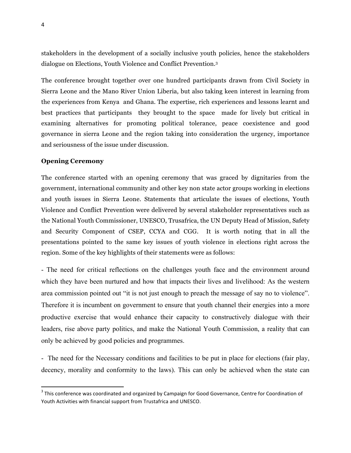stakeholders in the development of a socially inclusive youth policies, hence the stakeholders dialogue on Elections, Youth Violence and Conflict Prevention.3

The conference brought together over one hundred participants drawn from Civil Society in Sierra Leone and the Mano River Union Liberia, but also taking keen interest in learning from the experiences from Kenya and Ghana. The expertise, rich experiences and lessons learnt and best practices that participants they brought to the space made for lively but critical in examining alternatives for promoting political tolerance, peace coexistence and good governance in sierra Leone and the region taking into consideration the urgency, importance and seriousness of the issue under discussion.

#### **Opening Ceremony**

<u> 1989 - Jan Stein Stein, fransk politiker (d. 1989)</u>

The conference started with an opening ceremony that was graced by dignitaries from the government, international community and other key non state actor groups working in elections and youth issues in Sierra Leone. Statements that articulate the issues of elections, Youth Violence and Conflict Prevention were delivered by several stakeholder representatives such as the National Youth Commissioner, UNESCO, Trusafrica, the UN Deputy Head of Mission, Safety and Security Component of CSEP, CCYA and CGG. It is worth noting that in all the presentations pointed to the same key issues of youth violence in elections right across the region. Some of the key highlights of their statements were as follows:

- The need for critical reflections on the challenges youth face and the environment around which they have been nurtured and how that impacts their lives and livelihood: As the western area commission pointed out "it is not just enough to preach the message of say no to violence". Therefore it is incumbent on government to ensure that youth channel their energies into a more productive exercise that would enhance their capacity to constructively dialogue with their leaders, rise above party politics, and make the National Youth Commission, a reality that can only be achieved by good policies and programmes.

- The need for the Necessary conditions and facilities to be put in place for elections (fair play, decency, morality and conformity to the laws). This can only be achieved when the state can

 $3$  This conference was coordinated and organized by Campaign for Good Governance, Centre for Coordination of Youth Activities with financial support from Trustafrica and UNESCO.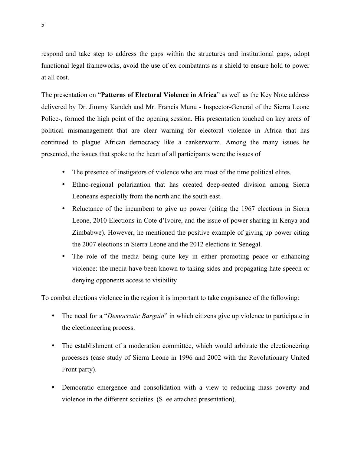respond and take step to address the gaps within the structures and institutional gaps, adopt functional legal frameworks, avoid the use of ex combatants as a shield to ensure hold to power at all cost.

The presentation on "**Patterns of Electoral Violence in Africa**" as well as the Key Note address delivered by Dr. Jimmy Kandeh and Mr. Francis Munu - Inspector-General of the Sierra Leone Police-, formed the high point of the opening session. His presentation touched on key areas of political mismanagement that are clear warning for electoral violence in Africa that has continued to plague African democracy like a cankerworm. Among the many issues he presented, the issues that spoke to the heart of all participants were the issues of

- The presence of instigators of violence who are most of the time political elites.
- Ethno-regional polarization that has created deep-seated division among Sierra Leoneans especially from the north and the south east.
- Reluctance of the incumbent to give up power (citing the 1967 elections in Sierra Leone, 2010 Elections in Cote d'Ivoire, and the issue of power sharing in Kenya and Zimbabwe). However, he mentioned the positive example of giving up power citing the 2007 elections in Sierra Leone and the 2012 elections in Senegal.
- The role of the media being quite key in either promoting peace or enhancing violence: the media have been known to taking sides and propagating hate speech or denying opponents access to visibility

To combat elections violence in the region it is important to take cognisance of the following:

- The need for a "*Democratic Bargain*" in which citizens give up violence to participate in the electioneering process.
- The establishment of a moderation committee, which would arbitrate the electioneering processes (case study of Sierra Leone in 1996 and 2002 with the Revolutionary United Front party).
- Democratic emergence and consolidation with a view to reducing mass poverty and violence in the different societies. (S ee attached presentation).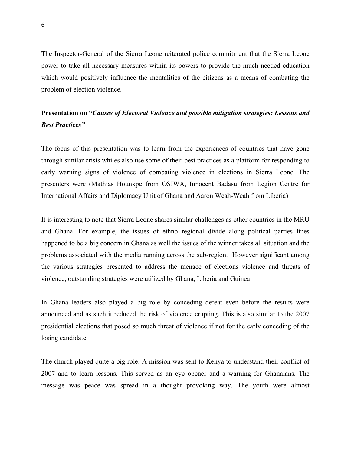The Inspector-General of the Sierra Leone reiterated police commitment that the Sierra Leone power to take all necessary measures within its powers to provide the much needed education which would positively influence the mentalities of the citizens as a means of combating the problem of election violence.

## **Presentation on "***Causes of Electoral Violence and possible mitigation strategies: Lessons and Best Practices"*

The focus of this presentation was to learn from the experiences of countries that have gone through similar crisis whiles also use some of their best practices as a platform for responding to early warning signs of violence of combating violence in elections in Sierra Leone. The presenters were (Mathias Hounkpe from OSIWA, Innocent Badasu from Legion Centre for International Affairs and Diplomacy Unit of Ghana and Aaron Weah-Weah from Liberia)

It is interesting to note that Sierra Leone shares similar challenges as other countries in the MRU and Ghana. For example, the issues of ethno regional divide along political parties lines happened to be a big concern in Ghana as well the issues of the winner takes all situation and the problems associated with the media running across the sub-region. However significant among the various strategies presented to address the menace of elections violence and threats of violence, outstanding strategies were utilized by Ghana, Liberia and Guinea:

In Ghana leaders also played a big role by conceding defeat even before the results were announced and as such it reduced the risk of violence erupting. This is also similar to the 2007 presidential elections that posed so much threat of violence if not for the early conceding of the losing candidate.

The church played quite a big role: A mission was sent to Kenya to understand their conflict of 2007 and to learn lessons. This served as an eye opener and a warning for Ghanaians. The message was peace was spread in a thought provoking way. The youth were almost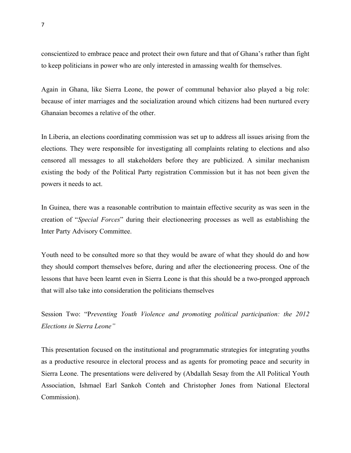conscientized to embrace peace and protect their own future and that of Ghana's rather than fight to keep politicians in power who are only interested in amassing wealth for themselves.

Again in Ghana, like Sierra Leone, the power of communal behavior also played a big role: because of inter marriages and the socialization around which citizens had been nurtured every Ghanaian becomes a relative of the other.

In Liberia, an elections coordinating commission was set up to address all issues arising from the elections. They were responsible for investigating all complaints relating to elections and also censored all messages to all stakeholders before they are publicized. A similar mechanism existing the body of the Political Party registration Commission but it has not been given the powers it needs to act.

In Guinea, there was a reasonable contribution to maintain effective security as was seen in the creation of "*Special Forces*" during their electioneering processes as well as establishing the Inter Party Advisory Committee.

Youth need to be consulted more so that they would be aware of what they should do and how they should comport themselves before, during and after the electioneering process. One of the lessons that have been learnt even in Sierra Leone is that this should be a two-pronged approach that will also take into consideration the politicians themselves

Session Two: "P*reventing Youth Violence and promoting political participation: the 2012 Elections in Sierra Leone"*

This presentation focused on the institutional and programmatic strategies for integrating youths as a productive resource in electoral process and as agents for promoting peace and security in Sierra Leone. The presentations were delivered by (Abdallah Sesay from the All Political Youth Association, Ishmael Earl Sankoh Conteh and Christopher Jones from National Electoral Commission).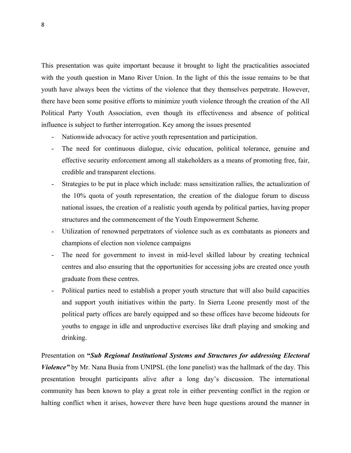This presentation was quite important because it brought to light the practicalities associated with the youth question in Mano River Union. In the light of this the issue remains to be that youth have always been the victims of the violence that they themselves perpetrate. However, there have been some positive efforts to minimize youth violence through the creation of the All Political Party Youth Association, even though its effectiveness and absence of political influence is subject to further interrogation. Key among the issues presented

- Nationwide advocacy for active youth representation and participation.
- The need for continuous dialogue, civic education, political tolerance, genuine and effective security enforcement among all stakeholders as a means of promoting free, fair, credible and transparent elections.
- Strategies to be put in place which include: mass sensitization rallies, the actualization of the 10% quota of youth representation, the creation of the dialogue forum to discuss national issues, the creation of a realistic youth agenda by political parties, having proper structures and the commencement of the Youth Empowerment Scheme.
- Utilization of renowned perpetrators of violence such as ex combatants as pioneers and champions of election non violence campaigns
- The need for government to invest in mid-level skilled labour by creating technical centres and also ensuring that the opportunities for accessing jobs are created once youth graduate from these centres.
- Political parties need to establish a proper youth structure that will also build capacities and support youth initiatives within the party. In Sierra Leone presently most of the political party offices are barely equipped and so these offices have become hideouts for youths to engage in idle and unproductive exercises like draft playing and smoking and drinking.

Presentation on **"***Sub Regional Institutional Systems and Structures for addressing Electoral Violence"* by Mr. Nana Busia from UNIPSL (the lone panelist) was the hallmark of the day. This presentation brought participants alive after a long day's discussion. The international community has been known to play a great role in either preventing conflict in the region or halting conflict when it arises, however there have been huge questions around the manner in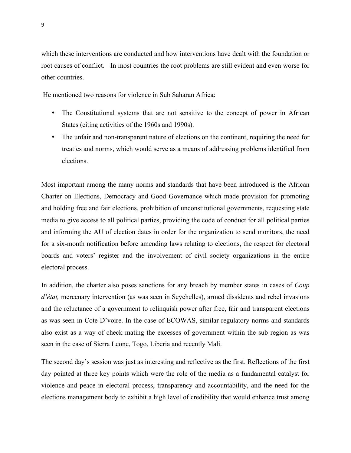which these interventions are conducted and how interventions have dealt with the foundation or root causes of conflict. In most countries the root problems are still evident and even worse for other countries.

He mentioned two reasons for violence in Sub Saharan Africa:

- The Constitutional systems that are not sensitive to the concept of power in African States (citing activities of the 1960s and 1990s).
- The unfair and non-transparent nature of elections on the continent, requiring the need for treaties and norms, which would serve as a means of addressing problems identified from elections.

Most important among the many norms and standards that have been introduced is the African Charter on Elections, Democracy and Good Governance which made provision for promoting and holding free and fair elections, prohibition of unconstitutional governments, requesting state media to give access to all political parties, providing the code of conduct for all political parties and informing the AU of election dates in order for the organization to send monitors, the need for a six-month notification before amending laws relating to elections, the respect for electoral boards and voters' register and the involvement of civil society organizations in the entire electoral process.

In addition, the charter also poses sanctions for any breach by member states in cases of *Coup d'état,* mercenary intervention (as was seen in Seychelles), armed dissidents and rebel invasions and the reluctance of a government to relinquish power after free, fair and transparent elections as was seen in Cote D'voire. In the case of ECOWAS, similar regulatory norms and standards also exist as a way of check mating the excesses of government within the sub region as was seen in the case of Sierra Leone, Togo, Liberia and recently Mali.

The second day's session was just as interesting and reflective as the first. Reflections of the first day pointed at three key points which were the role of the media as a fundamental catalyst for violence and peace in electoral process, transparency and accountability, and the need for the elections management body to exhibit a high level of credibility that would enhance trust among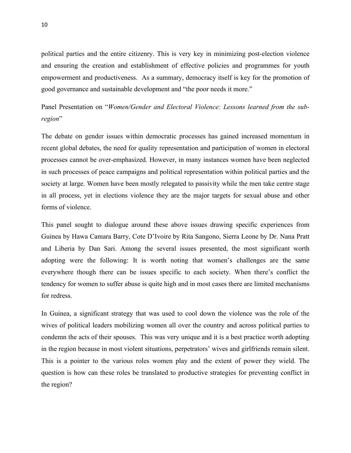political parties and the entire citizenry. This is very key in minimizing post-election violence and ensuring the creation and establishment of effective policies and programmes for youth empowerment and productiveness. As a summary, democracy itself is key for the promotion of good governance and sustainable development and "the poor needs it more."

Panel Presentation on "*Women/Gender and Electoral Violence: Lessons learned from the subregion*"

The debate on gender issues within democratic processes has gained increased momentum in recent global debates, the need for quality representation and participation of women in electoral processes cannot be over-emphasized. However, in many instances women have been neglected in such processes of peace campaigns and political representation within political parties and the society at large. Women have been mostly relegated to passivity while the men take centre stage in all process, yet in elections violence they are the major targets for sexual abuse and other forms of violence.

This panel sought to dialogue around these above issues drawing specific experiences from Guinea by Hawa Camara Barry, Cote D'Ivoire by Rita Sangono, Sierra Leone by Dr. Nana Pratt and Liberia by Dan Sari. Among the several issues presented, the most significant worth adopting were the following: It is worth noting that women's challenges are the same everywhere though there can be issues specific to each society. When there's conflict the tendency for women to suffer abuse is quite high and in most cases there are limited mechanisms for redress.

In Guinea, a significant strategy that was used to cool down the violence was the role of the wives of political leaders mobilizing women all over the country and across political parties to condemn the acts of their spouses. This was very unique and it is a best practice worth adopting in the region because in most violent situations, perpetrators' wives and girlfriends remain silent. This is a pointer to the various roles women play and the extent of power they wield. The question is how can these roles be translated to productive strategies for preventing conflict in the region?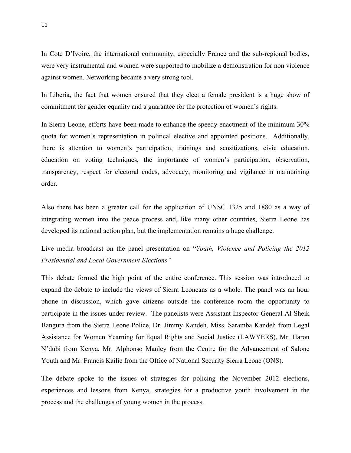In Cote D'Ivoire, the international community, especially France and the sub-regional bodies, were very instrumental and women were supported to mobilize a demonstration for non violence against women. Networking became a very strong tool.

In Liberia, the fact that women ensured that they elect a female president is a huge show of commitment for gender equality and a guarantee for the protection of women's rights.

In Sierra Leone, efforts have been made to enhance the speedy enactment of the minimum 30% quota for women's representation in political elective and appointed positions. Additionally, there is attention to women's participation, trainings and sensitizations, civic education, education on voting techniques, the importance of women's participation, observation, transparency, respect for electoral codes, advocacy, monitoring and vigilance in maintaining order.

Also there has been a greater call for the application of UNSC 1325 and 1880 as a way of integrating women into the peace process and, like many other countries, Sierra Leone has developed its national action plan, but the implementation remains a huge challenge.

Live media broadcast on the panel presentation on "*Youth, Violence and Policing the 2012 Presidential and Local Government Elections"*

This debate formed the high point of the entire conference. This session was introduced to expand the debate to include the views of Sierra Leoneans as a whole. The panel was an hour phone in discussion, which gave citizens outside the conference room the opportunity to participate in the issues under review. The panelists were Assistant Inspector-General Al-Sheik Bangura from the Sierra Leone Police, Dr. Jimmy Kandeh, Miss. Saramba Kandeh from Legal Assistance for Women Yearning for Equal Rights and Social Justice (LAWYERS), Mr. Haron N'dubi from Kenya, Mr. Alphonso Manley from the Centre for the Advancement of Salone Youth and Mr. Francis Kailie from the Office of National Security Sierra Leone (ONS).

The debate spoke to the issues of strategies for policing the November 2012 elections, experiences and lessons from Kenya, strategies for a productive youth involvement in the process and the challenges of young women in the process.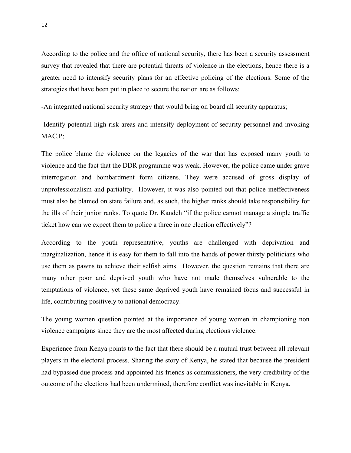According to the police and the office of national security, there has been a security assessment survey that revealed that there are potential threats of violence in the elections, hence there is a greater need to intensify security plans for an effective policing of the elections. Some of the strategies that have been put in place to secure the nation are as follows:

-An integrated national security strategy that would bring on board all security apparatus;

-Identify potential high risk areas and intensify deployment of security personnel and invoking MAC.P;

The police blame the violence on the legacies of the war that has exposed many youth to violence and the fact that the DDR programme was weak. However, the police came under grave interrogation and bombardment form citizens. They were accused of gross display of unprofessionalism and partiality. However, it was also pointed out that police ineffectiveness must also be blamed on state failure and, as such, the higher ranks should take responsibility for the ills of their junior ranks. To quote Dr. Kandeh "if the police cannot manage a simple traffic ticket how can we expect them to police a three in one election effectively"?

According to the youth representative, youths are challenged with deprivation and marginalization, hence it is easy for them to fall into the hands of power thirsty politicians who use them as pawns to achieve their selfish aims. However, the question remains that there are many other poor and deprived youth who have not made themselves vulnerable to the temptations of violence, yet these same deprived youth have remained focus and successful in life, contributing positively to national democracy.

The young women question pointed at the importance of young women in championing non violence campaigns since they are the most affected during elections violence.

Experience from Kenya points to the fact that there should be a mutual trust between all relevant players in the electoral process. Sharing the story of Kenya, he stated that because the president had bypassed due process and appointed his friends as commissioners, the very credibility of the outcome of the elections had been undermined, therefore conflict was inevitable in Kenya.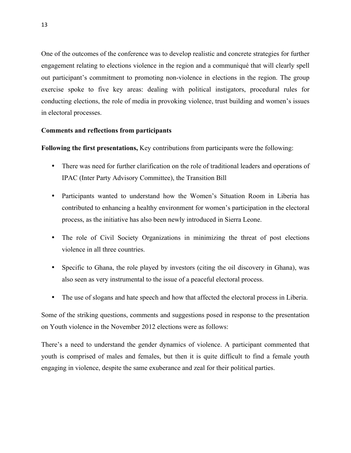One of the outcomes of the conference was to develop realistic and concrete strategies for further engagement relating to elections violence in the region and a communiqué that will clearly spell out participant's commitment to promoting non-violence in elections in the region. The group exercise spoke to five key areas: dealing with political instigators, procedural rules for conducting elections, the role of media in provoking violence, trust building and women's issues in electoral processes.

#### **Comments and reflections from participants**

**Following the first presentations,** Key contributions from participants were the following:

- There was need for further clarification on the role of traditional leaders and operations of IPAC (Inter Party Advisory Committee), the Transition Bill
- Participants wanted to understand how the Women's Situation Room in Liberia has contributed to enhancing a healthy environment for women's participation in the electoral process, as the initiative has also been newly introduced in Sierra Leone.
- The role of Civil Society Organizations in minimizing the threat of post elections violence in all three countries.
- Specific to Ghana, the role played by investors (citing the oil discovery in Ghana), was also seen as very instrumental to the issue of a peaceful electoral process.
- The use of slogans and hate speech and how that affected the electoral process in Liberia.

Some of the striking questions, comments and suggestions posed in response to the presentation on Youth violence in the November 2012 elections were as follows:

There's a need to understand the gender dynamics of violence. A participant commented that youth is comprised of males and females, but then it is quite difficult to find a female youth engaging in violence, despite the same exuberance and zeal for their political parties.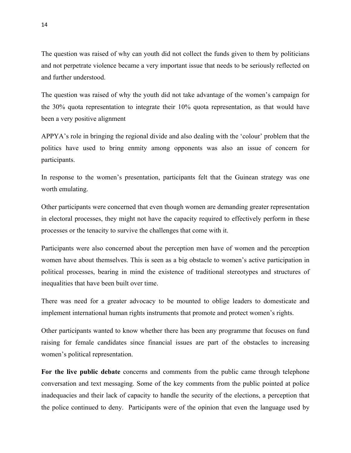The question was raised of why can youth did not collect the funds given to them by politicians and not perpetrate violence became a very important issue that needs to be seriously reflected on and further understood.

The question was raised of why the youth did not take advantage of the women's campaign for the 30% quota representation to integrate their 10% quota representation, as that would have been a very positive alignment

APPYA's role in bringing the regional divide and also dealing with the 'colour' problem that the politics have used to bring enmity among opponents was also an issue of concern for participants.

In response to the women's presentation, participants felt that the Guinean strategy was one worth emulating.

Other participants were concerned that even though women are demanding greater representation in electoral processes, they might not have the capacity required to effectively perform in these processes or the tenacity to survive the challenges that come with it.

Participants were also concerned about the perception men have of women and the perception women have about themselves. This is seen as a big obstacle to women's active participation in political processes, bearing in mind the existence of traditional stereotypes and structures of inequalities that have been built over time.

There was need for a greater advocacy to be mounted to oblige leaders to domesticate and implement international human rights instruments that promote and protect women's rights.

Other participants wanted to know whether there has been any programme that focuses on fund raising for female candidates since financial issues are part of the obstacles to increasing women's political representation.

**For the live public debate** concerns and comments from the public came through telephone conversation and text messaging. Some of the key comments from the public pointed at police inadequacies and their lack of capacity to handle the security of the elections, a perception that the police continued to deny. Participants were of the opinion that even the language used by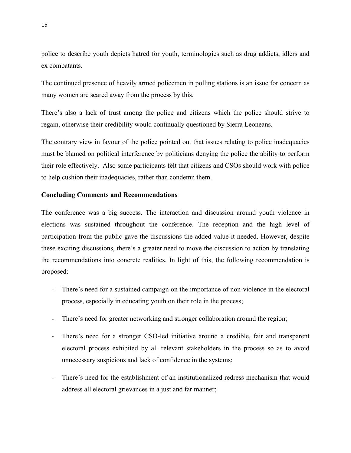police to describe youth depicts hatred for youth, terminologies such as drug addicts, idlers and ex combatants.

The continued presence of heavily armed policemen in polling stations is an issue for concern as many women are scared away from the process by this.

There's also a lack of trust among the police and citizens which the police should strive to regain, otherwise their credibility would continually questioned by Sierra Leoneans.

The contrary view in favour of the police pointed out that issues relating to police inadequacies must be blamed on political interference by politicians denying the police the ability to perform their role effectively. Also some participants felt that citizens and CSOs should work with police to help cushion their inadequacies, rather than condemn them.

#### **Concluding Comments and Recommendations**

The conference was a big success. The interaction and discussion around youth violence in elections was sustained throughout the conference. The reception and the high level of participation from the public gave the discussions the added value it needed. However, despite these exciting discussions, there's a greater need to move the discussion to action by translating the recommendations into concrete realities. In light of this, the following recommendation is proposed:

- There's need for a sustained campaign on the importance of non-violence in the electoral process, especially in educating youth on their role in the process;
- There's need for greater networking and stronger collaboration around the region;
- There's need for a stronger CSO-led initiative around a credible, fair and transparent electoral process exhibited by all relevant stakeholders in the process so as to avoid unnecessary suspicions and lack of confidence in the systems;
- There's need for the establishment of an institutionalized redress mechanism that would address all electoral grievances in a just and far manner;